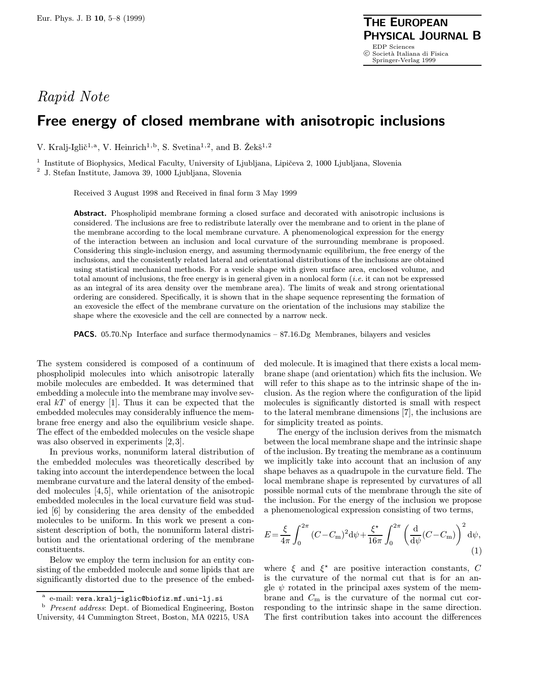## Rapid Note

## Free energy of closed membrane with anisotropic inclusions

V. Kralj-Iglič<sup>1,a</sup>, V. Heinrich<sup>1,b</sup>, S. Svetina<sup>1,2</sup>, and B. Žekš<sup>1,2</sup>

<sup>1</sup> Institute of Biophysics, Medical Faculty, University of Ljubljana, Lipičeva 2, 1000 Ljubljana, Slovenia

 $^{\rm 2}$  J. Stefan Institute, Jamova 39, 1000 Ljubljana, Slovenia

Received 3 August 1998 and Received in final form 3 May 1999

Abstract. Phospholipid membrane forming a closed surface and decorated with anisotropic inclusions is considered. The inclusions are free to redistribute laterally over the membrane and to orient in the plane of the membrane according to the local membrane curvature. A phenomenological expression for the energy of the interaction between an inclusion and local curvature of the surrounding membrane is proposed. Considering this single-inclusion energy, and assuming thermodynamic equilibrium, the free energy of the inclusions, and the consistently related lateral and orientational distributions of the inclusions are obtained using statistical mechanical methods. For a vesicle shape with given surface area, enclosed volume, and total amount of inclusions, the free energy is in general given in a nonlocal form  $(i.e.$  it can not be expressed as an integral of its area density over the membrane area). The limits of weak and strong orientational ordering are considered. Specifically, it is shown that in the shape sequence representing the formation of an exovesicle the effect of the membrane curvature on the orientation of the inclusions may stabilize the shape where the exovesicle and the cell are connected by a narrow neck.

PACS. 05.70.Np Interface and surface thermodynamics – 87.16.Dg Membranes, bilayers and vesicles

The system considered is composed of a continuum of phospholipid molecules into which anisotropic laterally mobile molecules are embedded. It was determined that embedding a molecule into the membrane may involve several  $kT$  of energy [1]. Thus it can be expected that the embedded molecules may considerably influence the membrane free energy and also the equilibrium vesicle shape. The effect of the embedded molecules on the vesicle shape was also observed in experiments [2,3].

In previous works, nonuniform lateral distribution of the embedded molecules was theoretically described by taking into account the interdependence between the local membrane curvature and the lateral density of the embedded molecules [4,5], while orientation of the anisotropic embedded molecules in the local curvature field was studied [6] by considering the area density of the embedded molecules to be uniform. In this work we present a consistent description of both, the nonuniform lateral distribution and the orientational ordering of the membrane constituents.

Below we employ the term inclusion for an entity consisting of the embedded molecule and some lipids that are significantly distorted due to the presence of the embedded molecule. It is imagined that there exists a local membrane shape (and orientation) which fits the inclusion. We will refer to this shape as to the intrinsic shape of the inclusion. As the region where the configuration of the lipid molecules is significantly distorted is small with respect to the lateral membrane dimensions [7], the inclusions are for simplicity treated as points.

The energy of the inclusion derives from the mismatch between the local membrane shape and the intrinsic shape of the inclusion. By treating the membrane as a continuum we implicitly take into account that an inclusion of any shape behaves as a quadrupole in the curvature field. The local membrane shape is represented by curvatures of all possible normal cuts of the membrane through the site of the inclusion. For the energy of the inclusion we propose a phenomenological expression consisting of two terms,

$$
E = \frac{\xi}{4\pi} \int_0^{2\pi} (C - C_{\rm m})^2 d\psi + \frac{\xi^*}{16\pi} \int_0^{2\pi} \left(\frac{d}{d\psi}(C - C_{\rm m})\right)^2 d\psi,
$$
\n(1)

where  $\xi$  and  $\xi^*$  are positive interaction constants, C is the curvature of the normal cut that is for an angle  $\psi$  rotated in the principal axes system of the membrane and  $C_m$  is the curvature of the normal cut corresponding to the intrinsic shape in the same direction. The first contribution takes into account the differences

e-mail: vera.kralj-iglic@biofiz.mf.uni-lj.si

<sup>b</sup> Present address: Dept. of Biomedical Engineering, Boston University, 44 Cummington Street, Boston, MA 02215, USA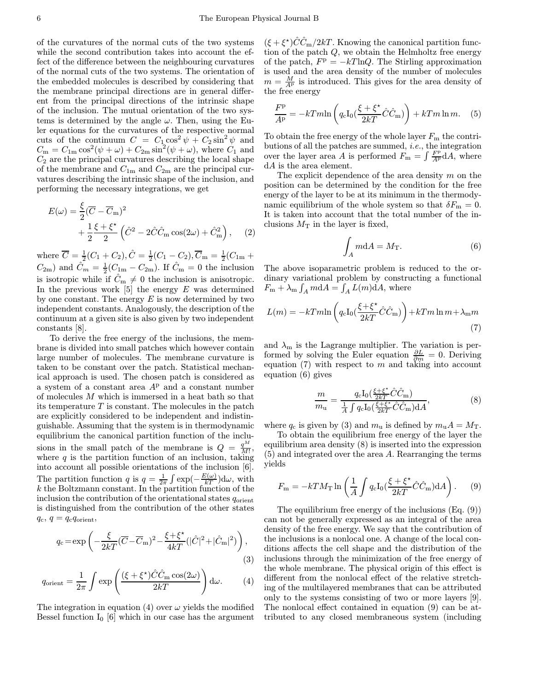of the curvatures of the normal cuts of the two systems while the second contribution takes into account the effect of the difference between the neighbouring curvatures of the normal cuts of the two systems. The orientation of the embedded molecules is described by considering that the membrane principal directions are in general different from the principal directions of the intrinsic shape of the inclusion. The mutual orientation of the two systems is determined by the angle  $\omega$ . Then, using the Euler equations for the curvatures of the respective normal cuts of the continuum  $C = C_1 \cos^2 \psi + C_2 \sin^2 \psi$  and  $C_m = C_{1m} \cos^2(\psi + \omega) + C_{2m} \sin^2(\psi + \omega)$ , where  $C_1$  and  $C_2$  are the principal curvatures describing the local shape of the membrane and  $C_{1m}$  and  $C_{2m}$  are the principal curvatures describing the intrinsic shape of the inclusion, and performing the necessary integrations, we get

$$
E(\omega) = \frac{\xi}{2} (\overline{C} - \overline{C}_{\text{m}})^2
$$
  
+ 
$$
\frac{1}{2} \frac{\xi + \xi^*}{2} (\hat{C}^2 - 2\hat{C}\hat{C}_{\text{m}} \cos(2\omega) + \hat{C}_{\text{m}}^2),
$$
 (2)

where  $\overline{C} = \frac{1}{2}(C_1 + C_2), \hat{C} = \frac{1}{2}(C_1 - C_2), \overline{C}_{\text{m}} = \frac{1}{2}(C_{1\text{m}} + C_{2\text{m}})$  $C_{2m}$ ) and  $\hat{C}_m = \frac{1}{2}(C_{1m} - C_{2m})$ . If  $\hat{C}_m = 0$  the inclusion is isotropic while if  $\hat{C}_{m} \neq 0$  the inclusion is anisotropic. In the previous work  $\overline{5}$  the energy E was determined by one constant. The energy  $E$  is now determined by two independent constants. Analogously, the description of the continuum at a given site is also given by two independent constants [8].

To derive the free energy of the inclusions, the membrane is divided into small patches which however contain large number of molecules. The membrane curvature is taken to be constant over the patch. Statistical mechanical approach is used. The chosen patch is considered as a system of a constant area  $A<sup>p</sup>$  and a constant number of molecules  $M$  which is immersed in a heat bath so that its temperature  $T$  is constant. The molecules in the patch are explicitly considered to be independent and indistinguishable. Assuming that the system is in thermodynamic equilibrium the canonical partition function of the inclusions in the small patch of the membrane is  $Q = \frac{q^M}{M!}$ , where  $q$  is the partition function of an inclusion, taking into account all possible orientations of the inclusion [6]. The partition function q is  $q = \frac{1}{2\pi} \int \exp(-\frac{E(\omega)}{kT}) d\omega$ , with k the Boltzmann constant. In the partition function of the inclusion the contribution of the orientational states  $q_{\text{orient}}$ is distinguished from the contribution of the other states  $q_c, q = q_c q_{\text{orient}},$ 

$$
q_{\rm c} = \exp\left(-\frac{\xi}{2kT}(\overline{C} - \overline{C}_{\rm m})^2 - \frac{\xi + \xi^*}{4kT}(|\hat{C}|^2 + |\hat{C}_{\rm m}|^2)\right),\tag{3}
$$

$$
q_{\text{orient}} = \frac{1}{2\pi} \int \exp\left(\frac{(\xi + \xi^*)\hat{C}\hat{C}_{\text{m}}\cos(2\omega)}{2kT}\right) d\omega.
$$
 (4)

The integration in equation (4) over  $\omega$  yields the modified Bessel function  $I_0$  [6] which in our case has the argument

 $(\xi + \xi^*)\hat{C}\hat{C}_{\text{m}}/2kT$ . Knowing the canonical partition function of the patch Q, we obtain the Helmholtz free energy of the patch,  $F^{\rm p} = -kT \ln Q$ . The Stirling approximation is used and the area density of the number of molecules  $m = \frac{M}{A^p}$  is introduced. This gives for the area density of the free energy

$$
\frac{F^{\mathbf{p}}}{A^{\mathbf{p}}} = -kTm\ln\left(q_{\mathbf{c}}\mathbf{I}_{0}(\frac{\xi + \xi^{\star}}{2kT}\hat{C}\hat{C}_{\mathbf{m}})\right) + kTm\ln m. \quad (5)
$$

To obtain the free energy of the whole layer  $F<sub>m</sub>$  the contributions of all the patches are summed, i.e., the integration over the layer area A is performed  $F_{\text{m}} = \int \frac{F_{\text{P}}^{\text{p}}}{A} \, dA$ , where dA is the area element.

The explicit dependence of the area density  $m$  on the position can be determined by the condition for the free energy of the layer to be at its minimum in the thermodynamic equilibrium of the whole system so that  $\delta F_{\rm m} = 0$ . It is taken into account that the total number of the inclusions  $M_T$  in the layer is fixed,

$$
\int_{A} m dA = M_{\rm T}.
$$
\n(6)

The above isoparametric problem is reduced to the ordinary variational problem by constructing a functional  $F_m + \lambda_m \int_A m \mathrm{d}A = \int_A L(m) \mathrm{d}A$ , where

$$
L(m) = -kTm\ln\left(q_c I_0 \left(\frac{\xi + \xi^*}{2kT} \hat{C} \hat{C}_{\text{m}}\right)\right) + kTm \ln m + \lambda_{\text{m}}m\tag{7}
$$

and  $\lambda_{\rm m}$  is the Lagrange multiplier. The variation is performed by solving the Euler equation  $\frac{\partial L}{\partial m} = 0$ . Deriving equation  $(7)$  with respect to m and taking into account equation (6) gives

$$
\frac{m}{m_{\rm u}} = \frac{q_{\rm c}I_0(\frac{\xi + \xi^*}{2kT}\hat{C}\hat{C}_{\rm m})}{\frac{1}{A}\int q_{\rm c}I_0(\frac{\xi + \xi^*}{2kT}\hat{C}\hat{C}_{\rm m})\mathrm{d}A},\tag{8}
$$

where  $q_c$  is given by (3) and  $m_u$  is defined by  $m_u A = M_T$ .

To obtain the equilibrium free energy of the layer the equilibrium area density (8) is inserted into the expression (5) and integrated over the area A. Rearranging the terms yields

$$
F_{\rm m} = -kT M_{\rm T} \ln \left( \frac{1}{A} \int q_{\rm c} I_0 \left( \frac{\xi + \xi^*}{2kT} \hat{C} \hat{C}_{\rm m} \right) dA \right). \tag{9}
$$

The equilibrium free energy of the inclusions  $(E_q, (9))$ can not be generally expressed as an integral of the area density of the free energy. We say that the contribution of the inclusions is a nonlocal one. A change of the local conditions affects the cell shape and the distribution of the inclusions through the minimization of the free energy of the whole membrane. The physical origin of this effect is different from the nonlocal effect of the relative stretching of the multilayered membranes that can be attributed only to the systems consisting of two or more layers [9]. The nonlocal effect contained in equation (9) can be attributed to any closed membraneous system (including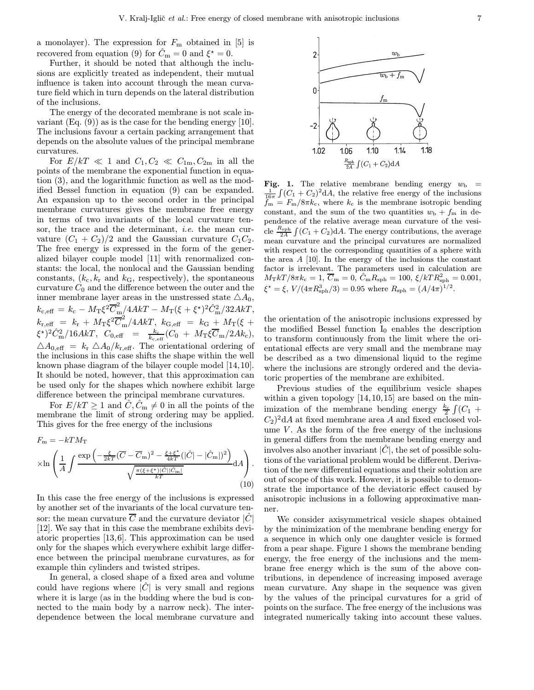a monolayer). The expression for  $F<sub>m</sub>$  obtained in [5] is recovered from equation (9) for  $\hat{C}_m = 0$  and  $\xi^* = 0$ .

Further, it should be noted that although the inclusions are explicitly treated as independent, their mutual influence is taken into account through the mean curvature field which in turn depends on the lateral distribution of the inclusions.

The energy of the decorated membrane is not scale invariant  $(Eq. (9))$  as is the case for the bending energy [10]. The inclusions favour a certain packing arrangement that depends on the absolute values of the principal membrane curvatures.

For  $E/kT \ll 1$  and  $C_1, C_2 \ll C_{1m}, C_{2m}$  in all the points of the membrane the exponential function in equation (3), and the logarithmic function as well as the modified Bessel function in equation (9) can be expanded. An expansion up to the second order in the principal membrane curvatures gives the membrane free energy in terms of two invariants of the local curvature tensor, the trace and the determinant, i.e. the mean curvature  $(C_1 + C_2)/2$  and the Gaussian curvature  $C_1C_2$ . The free energy is expressed in the form of the generalized bilayer couple model [11] with renormalized constants: the local, the nonlocal and the Gaussian bending constants,  $(k_c, k_r$  and  $k_G$ , respectively), the spontaneous curvature  $C_0$  and the difference between the outer and the inner membrane layer areas in the unstressed state  $\triangle A_0$ ,  $k_{\mathrm{c,eff}}\,=\,k_{\mathrm{c}}-M_{\mathrm{T}}\xi^2\overline{C}_{\mathrm{m}}^2/4AkT-M_{\mathrm{T}}(\xi+\xi^\star)^2\hat{C}_{\mathrm{m}}^2/32AkT,$  $k_{\rm r, eff} \; = \; k_{\rm r} \, + \, M_{\rm T} \xi^2 \overline{C}_{\rm m}^2/4 A k T, \; k_{\rm G, eff} \; = \; k_{\rm G} \, + \, M_{\rm T} (\xi \; + \;$  $(\xi^{\star})^2 \hat{C}_{\rm m}^2/16AKT,~~ C_{0,\rm eff}~~=~~~ \frac{k_{\rm c}}{k_{\rm c,eff}}(C_0~+~M_{\rm T}\xi \overline{C}_{\rm m}/2Ak_{\rm c}),$  $\Delta A_{0,\text{eff}} = k_{\text{r}} \Delta A_0 / k_{\text{r,eff}}$ . The orientational ordering of the inclusions in this case shifts the shape within the well known phase diagram of the bilayer couple model [14,10]. It should be noted, however, that this approximation can be used only for the shapes which nowhere exhibit large difference between the principal membrane curvatures.

For  $E/kT \geq 1$  and  $\tilde{C}, \tilde{C}_{m} \neq 0$  in all the points of the membrane the limit of strong ordering may be applied. This gives for the free energy of the inclusions

$$
F_{\rm m} = -kT M_{\rm T}
$$

$$
\times \ln \left( \frac{1}{A} \int \frac{\exp\left(-\frac{\xi}{2kT} (\overline{C} - \overline{C}_{\rm m})^2 - \frac{\xi + \xi^*}{4kT} (|\hat{C}| - |\hat{C}_{\rm m}|)^2\right)}{\sqrt{\frac{\pi(\xi + \xi^*)|\hat{C}||\hat{C}_{\rm m}|}{kT}}} dA \right). \tag{10}
$$

In this case the free energy of the inclusions is expressed by another set of the invariants of the local curvature tensor: the mean curvature  $\overline{C}$  and the curvature deviator  $|\hat{C}|$ [12]. We say that in this case the membrane exhibits deviatoric properties [13,6]. This approximation can be used only for the shapes which everywhere exhibit large difference between the principal membrane curvatures, as for example thin cylinders and twisted stripes.

In general, a closed shape of a fixed area and volume could have regions where  $|\hat{C}|$  is very small and regions where it is large (as in the budding where the bud is connected to the main body by a narrow neck). The interdependence between the local membrane curvature and



Fig. 1. The relative membrane bending energy  $w_{\rm b}$  =  $\frac{1}{16\pi} \int (C_1 + C_2)^2 dA$ , the relative free energy of the inclusions  $f_{\rm m} = F_{\rm m}/8\pi k_{\rm c}$ , where  $k_{\rm c}$  is the membrane isotropic bending constant, and the sum of the two quantities  $w_{\rm b} + f_{\rm m}$  in dependence of the relative average mean curvature of the vesicle  $\frac{R_{\rm sph}}{2A} \int (C_1 + C_2) dA$ . The energy contributions, the average mean curvature and the principal curvatures are normalized with respect to the corresponding quantities of a sphere with the area  $A$  [10]. In the energy of the inclusions the constant factor is irrelevant. The parameters used in calculation are  $M_{\rm T} kT/8\pi k_{\rm c} = 1,\ \overline{C}_{\rm m} = 0,\ \hat{C}_{\rm m}R_{\rm sph} = 100,\ \xi/kT R_{\rm sph}^2 = 0.001,$  $\xi^* = \xi$ ,  $V/(4\pi R_{\rm sph}^3/3) = 0.95$  where  $R_{\rm sph} = (A/4\pi)^{1/2}$ .

the orientation of the anisotropic inclusions expressed by the modified Bessel function  $I_0$  enables the description to transform continuously from the limit where the orientational effects are very small and the membrane may be described as a two dimensional liquid to the regime where the inclusions are strongly ordered and the deviatoric properties of the membrane are exhibited.

Previous studies of the equilibrium vesicle shapes within a given topology  $[14, 10, 15]$  are based on the minimization of the membrane bending energy  $\frac{k_c}{2} \int (C_1 +$  $C_2$ <sup>2</sup>dA at fixed membrane area A and fixed enclosed volume  $V$ . As the form of the free energy of the inclusions in general differs from the membrane bending energy and involves also another invariant  $|\hat{C}|$ , the set of possible solutions of the variational problem would be different. Derivation of the new differential equations and their solution are out of scope of this work. However, it is possible to demonstrate the importance of the deviatoric effect caused by anisotropic inclusions in a following approximative manner.

We consider axisymmetrical vesicle shapes obtained by the minimization of the membrane bending energy for a sequence in which only one daughter vesicle is formed from a pear shape. Figure 1 shows the membrane bending energy, the free energy of the inclusions and the membrane free energy which is the sum of the above contributions, in dependence of increasing imposed average mean curvature. Any shape in the sequence was given by the values of the principal curvatures for a grid of points on the surface. The free energy of the inclusions was integrated numerically taking into account these values.